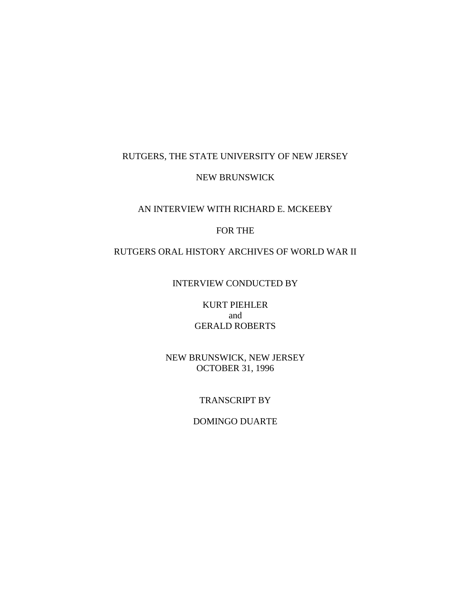# RUTGERS, THE STATE UNIVERSITY OF NEW JERSEY

#### NEW BRUNSWICK

# AN INTERVIEW WITH RICHARD E. MCKEEBY

# FOR THE

# RUTGERS ORAL HISTORY ARCHIVES OF WORLD WAR II

#### INTERVIEW CONDUCTED BY

KURT PIEHLER and GERALD ROBERTS

NEW BRUNSWICK, NEW JERSEY OCTOBER 31, 1996

#### TRANSCRIPT BY

# DOMINGO DUARTE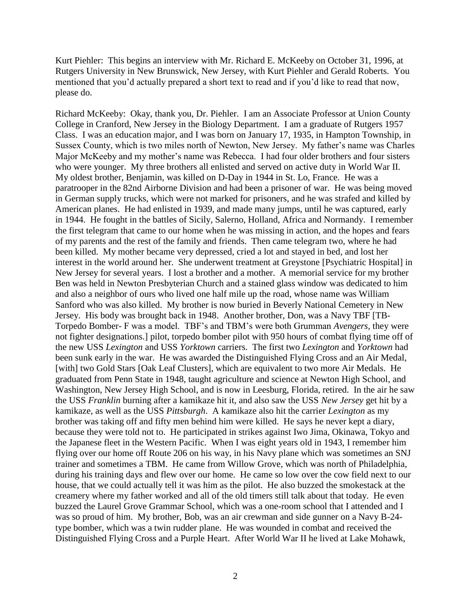Kurt Piehler: This begins an interview with Mr. Richard E. McKeeby on October 31, 1996, at Rutgers University in New Brunswick, New Jersey, with Kurt Piehler and Gerald Roberts. You mentioned that you'd actually prepared a short text to read and if you'd like to read that now, please do.

Richard McKeeby: Okay, thank you, Dr. Piehler. I am an Associate Professor at Union County College in Cranford, New Jersey in the Biology Department. I am a graduate of Rutgers 1957 Class. I was an education major, and I was born on January 17, 1935, in Hampton Township, in Sussex County, which is two miles north of Newton, New Jersey. My father's name was Charles Major McKeeby and my mother's name was Rebecca. I had four older brothers and four sisters who were younger. My three brothers all enlisted and served on active duty in World War II. My oldest brother, Benjamin, was killed on D-Day in 1944 in St. Lo, France. He was a paratrooper in the 82nd Airborne Division and had been a prisoner of war. He was being moved in German supply trucks, which were not marked for prisoners, and he was strafed and killed by American planes. He had enlisted in 1939, and made many jumps, until he was captured, early in 1944. He fought in the battles of Sicily, Salerno, Holland, Africa and Normandy. I remember the first telegram that came to our home when he was missing in action, and the hopes and fears of my parents and the rest of the family and friends. Then came telegram two, where he had been killed. My mother became very depressed, cried a lot and stayed in bed, and lost her interest in the world around her. She underwent treatment at Greystone [Psychiatric Hospital] in New Jersey for several years. I lost a brother and a mother. A memorial service for my brother Ben was held in Newton Presbyterian Church and a stained glass window was dedicated to him and also a neighbor of ours who lived one half mile up the road, whose name was William Sanford who was also killed. My brother is now buried in Beverly National Cemetery in New Jersey. His body was brought back in 1948. Another brother, Don, was a Navy TBF [TB-Torpedo Bomber- F was a model. TBF's and TBM's were both Grumman *Avengers,* they were not fighter designations.] pilot, torpedo bomber pilot with 950 hours of combat flying time off of the new USS *Lexington* and USS *Yorktown* carriers. The first two *Lexington* and *Yorktown* had been sunk early in the war. He was awarded the Distinguished Flying Cross and an Air Medal, [with] two Gold Stars [Oak Leaf Clusters], which are equivalent to two more Air Medals. He graduated from Penn State in 1948, taught agriculture and science at Newton High School, and Washington, New Jersey High School, and is now in Leesburg, Florida, retired. In the air he saw the USS *Franklin* burning after a kamikaze hit it, and also saw the USS *New Jersey* get hit by a kamikaze, as well as the USS *Pittsburgh*. A kamikaze also hit the carrier *Lexington* as my brother was taking off and fifty men behind him were killed. He says he never kept a diary, because they were told not to. He participated in strikes against Iwo Jima, Okinawa, Tokyo and the Japanese fleet in the Western Pacific. When I was eight years old in 1943, I remember him flying over our home off Route 206 on his way, in his Navy plane which was sometimes an SNJ trainer and sometimes a TBM. He came from Willow Grove, which was north of Philadelphia, during his training days and flew over our home. He came so low over the cow field next to our house, that we could actually tell it was him as the pilot. He also buzzed the smokestack at the creamery where my father worked and all of the old timers still talk about that today. He even buzzed the Laurel Grove Grammar School, which was a one-room school that I attended and I was so proud of him. My brother, Bob, was an air crewman and side gunner on a Navy B-24 type bomber, which was a twin rudder plane. He was wounded in combat and received the Distinguished Flying Cross and a Purple Heart. After World War II he lived at Lake Mohawk,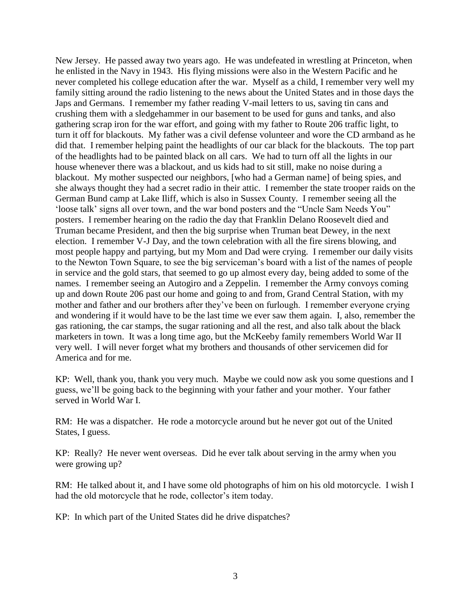New Jersey. He passed away two years ago. He was undefeated in wrestling at Princeton, when he enlisted in the Navy in 1943. His flying missions were also in the Western Pacific and he never completed his college education after the war. Myself as a child, I remember very well my family sitting around the radio listening to the news about the United States and in those days the Japs and Germans. I remember my father reading V-mail letters to us, saving tin cans and crushing them with a sledgehammer in our basement to be used for guns and tanks, and also gathering scrap iron for the war effort, and going with my father to Route 206 traffic light, to turn it off for blackouts. My father was a civil defense volunteer and wore the CD armband as he did that. I remember helping paint the headlights of our car black for the blackouts. The top part of the headlights had to be painted black on all cars. We had to turn off all the lights in our house whenever there was a blackout, and us kids had to sit still, make no noise during a blackout. My mother suspected our neighbors, [who had a German name] of being spies, and she always thought they had a secret radio in their attic. I remember the state trooper raids on the German Bund camp at Lake Iliff, which is also in Sussex County. I remember seeing all the 'loose talk' signs all over town, and the war bond posters and the "Uncle Sam Needs You" posters. I remember hearing on the radio the day that Franklin Delano Roosevelt died and Truman became President, and then the big surprise when Truman beat Dewey, in the next election. I remember V-J Day, and the town celebration with all the fire sirens blowing, and most people happy and partying, but my Mom and Dad were crying. I remember our daily visits to the Newton Town Square, to see the big serviceman's board with a list of the names of people in service and the gold stars, that seemed to go up almost every day, being added to some of the names. I remember seeing an Autogiro and a Zeppelin. I remember the Army convoys coming up and down Route 206 past our home and going to and from, Grand Central Station, with my mother and father and our brothers after they've been on furlough. I remember everyone crying and wondering if it would have to be the last time we ever saw them again. I, also, remember the gas rationing, the car stamps, the sugar rationing and all the rest, and also talk about the black marketers in town. It was a long time ago, but the McKeeby family remembers World War II very well. I will never forget what my brothers and thousands of other servicemen did for America and for me.

KP: Well, thank you, thank you very much. Maybe we could now ask you some questions and I guess, we'll be going back to the beginning with your father and your mother. Your father served in World War I.

RM: He was a dispatcher. He rode a motorcycle around but he never got out of the United States, I guess.

KP: Really? He never went overseas. Did he ever talk about serving in the army when you were growing up?

RM: He talked about it, and I have some old photographs of him on his old motorcycle. I wish I had the old motorcycle that he rode, collector's item today.

KP: In which part of the United States did he drive dispatches?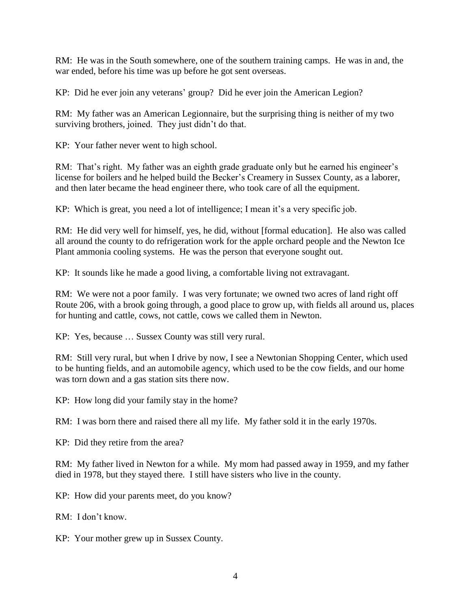RM: He was in the South somewhere, one of the southern training camps. He was in and, the war ended, before his time was up before he got sent overseas.

KP: Did he ever join any veterans' group? Did he ever join the American Legion?

RM: My father was an American Legionnaire, but the surprising thing is neither of my two surviving brothers, joined. They just didn't do that.

KP: Your father never went to high school.

RM: That's right. My father was an eighth grade graduate only but he earned his engineer's license for boilers and he helped build the Becker's Creamery in Sussex County, as a laborer, and then later became the head engineer there, who took care of all the equipment.

KP: Which is great, you need a lot of intelligence; I mean it's a very specific job.

RM: He did very well for himself, yes, he did, without [formal education]. He also was called all around the county to do refrigeration work for the apple orchard people and the Newton Ice Plant ammonia cooling systems. He was the person that everyone sought out.

KP: It sounds like he made a good living, a comfortable living not extravagant.

RM: We were not a poor family. I was very fortunate; we owned two acres of land right off Route 206, with a brook going through, a good place to grow up, with fields all around us, places for hunting and cattle, cows, not cattle, cows we called them in Newton.

KP: Yes, because … Sussex County was still very rural.

RM: Still very rural, but when I drive by now, I see a Newtonian Shopping Center, which used to be hunting fields, and an automobile agency, which used to be the cow fields, and our home was torn down and a gas station sits there now.

KP: How long did your family stay in the home?

RM: I was born there and raised there all my life. My father sold it in the early 1970s.

KP: Did they retire from the area?

RM: My father lived in Newton for a while. My mom had passed away in 1959, and my father died in 1978, but they stayed there. I still have sisters who live in the county.

KP: How did your parents meet, do you know?

RM: I don't know.

KP: Your mother grew up in Sussex County.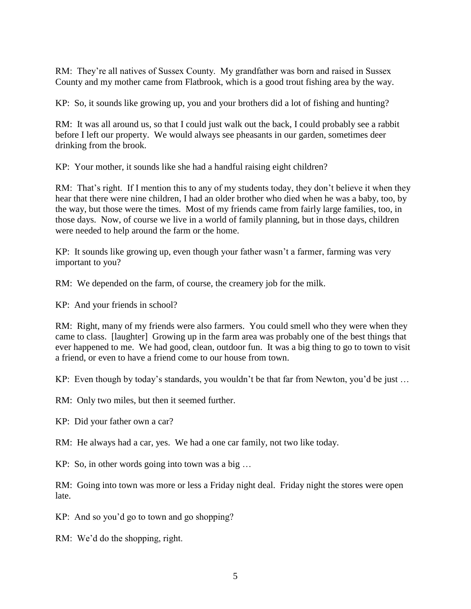RM: They're all natives of Sussex County. My grandfather was born and raised in Sussex County and my mother came from Flatbrook, which is a good trout fishing area by the way.

KP: So, it sounds like growing up, you and your brothers did a lot of fishing and hunting?

RM: It was all around us, so that I could just walk out the back, I could probably see a rabbit before I left our property. We would always see pheasants in our garden, sometimes deer drinking from the brook.

KP: Your mother, it sounds like she had a handful raising eight children?

RM: That's right. If I mention this to any of my students today, they don't believe it when they hear that there were nine children, I had an older brother who died when he was a baby, too, by the way, but those were the times. Most of my friends came from fairly large families, too, in those days. Now, of course we live in a world of family planning, but in those days, children were needed to help around the farm or the home.

KP: It sounds like growing up, even though your father wasn't a farmer, farming was very important to you?

RM: We depended on the farm, of course, the creamery job for the milk.

KP: And your friends in school?

RM: Right, many of my friends were also farmers. You could smell who they were when they came to class. [laughter] Growing up in the farm area was probably one of the best things that ever happened to me. We had good, clean, outdoor fun. It was a big thing to go to town to visit a friend, or even to have a friend come to our house from town.

KP: Even though by today's standards, you wouldn't be that far from Newton, you'd be just ...

RM: Only two miles, but then it seemed further.

KP: Did your father own a car?

RM: He always had a car, yes. We had a one car family, not two like today.

KP: So, in other words going into town was a big …

RM: Going into town was more or less a Friday night deal. Friday night the stores were open late.

KP: And so you'd go to town and go shopping?

RM: We'd do the shopping, right.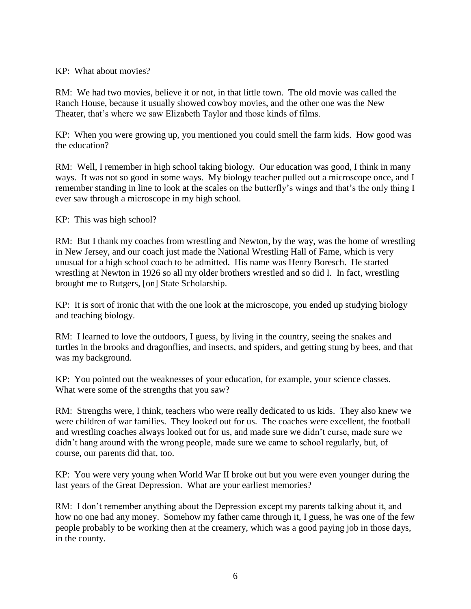# KP: What about movies?

RM: We had two movies, believe it or not, in that little town. The old movie was called the Ranch House, because it usually showed cowboy movies, and the other one was the New Theater, that's where we saw Elizabeth Taylor and those kinds of films.

KP: When you were growing up, you mentioned you could smell the farm kids. How good was the education?

RM: Well, I remember in high school taking biology. Our education was good, I think in many ways. It was not so good in some ways. My biology teacher pulled out a microscope once, and I remember standing in line to look at the scales on the butterfly's wings and that's the only thing I ever saw through a microscope in my high school.

KP: This was high school?

RM: But I thank my coaches from wrestling and Newton, by the way, was the home of wrestling in New Jersey, and our coach just made the National Wrestling Hall of Fame, which is very unusual for a high school coach to be admitted. His name was Henry Boresch. He started wrestling at Newton in 1926 so all my older brothers wrestled and so did I. In fact, wrestling brought me to Rutgers, [on] State Scholarship.

KP: It is sort of ironic that with the one look at the microscope, you ended up studying biology and teaching biology.

RM: I learned to love the outdoors, I guess, by living in the country, seeing the snakes and turtles in the brooks and dragonflies, and insects, and spiders, and getting stung by bees, and that was my background.

KP: You pointed out the weaknesses of your education, for example, your science classes. What were some of the strengths that you saw?

RM: Strengths were, I think, teachers who were really dedicated to us kids. They also knew we were children of war families. They looked out for us. The coaches were excellent, the football and wrestling coaches always looked out for us, and made sure we didn't curse, made sure we didn't hang around with the wrong people, made sure we came to school regularly, but, of course, our parents did that, too.

KP: You were very young when World War II broke out but you were even younger during the last years of the Great Depression. What are your earliest memories?

RM: I don't remember anything about the Depression except my parents talking about it, and how no one had any money. Somehow my father came through it, I guess, he was one of the few people probably to be working then at the creamery, which was a good paying job in those days, in the county.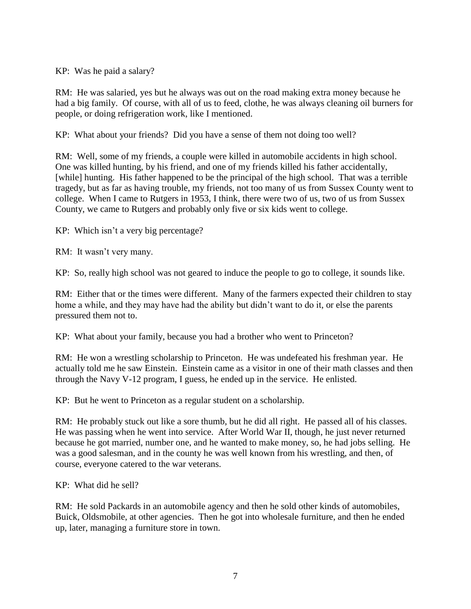KP: Was he paid a salary?

RM: He was salaried, yes but he always was out on the road making extra money because he had a big family. Of course, with all of us to feed, clothe, he was always cleaning oil burners for people, or doing refrigeration work, like I mentioned.

KP: What about your friends? Did you have a sense of them not doing too well?

RM: Well, some of my friends, a couple were killed in automobile accidents in high school. One was killed hunting, by his friend, and one of my friends killed his father accidentally, [while] hunting. His father happened to be the principal of the high school. That was a terrible tragedy, but as far as having trouble, my friends, not too many of us from Sussex County went to college. When I came to Rutgers in 1953, I think, there were two of us, two of us from Sussex County, we came to Rutgers and probably only five or six kids went to college.

KP: Which isn't a very big percentage?

RM: It wasn't very many.

KP: So, really high school was not geared to induce the people to go to college, it sounds like.

RM: Either that or the times were different. Many of the farmers expected their children to stay home a while, and they may have had the ability but didn't want to do it, or else the parents pressured them not to.

KP: What about your family, because you had a brother who went to Princeton?

RM: He won a wrestling scholarship to Princeton. He was undefeated his freshman year. He actually told me he saw Einstein. Einstein came as a visitor in one of their math classes and then through the Navy V-12 program, I guess, he ended up in the service. He enlisted.

KP: But he went to Princeton as a regular student on a scholarship.

RM: He probably stuck out like a sore thumb, but he did all right. He passed all of his classes. He was passing when he went into service. After World War II, though, he just never returned because he got married, number one, and he wanted to make money, so, he had jobs selling. He was a good salesman, and in the county he was well known from his wrestling, and then, of course, everyone catered to the war veterans.

KP: What did he sell?

RM: He sold Packards in an automobile agency and then he sold other kinds of automobiles, Buick, Oldsmobile, at other agencies. Then he got into wholesale furniture, and then he ended up, later, managing a furniture store in town.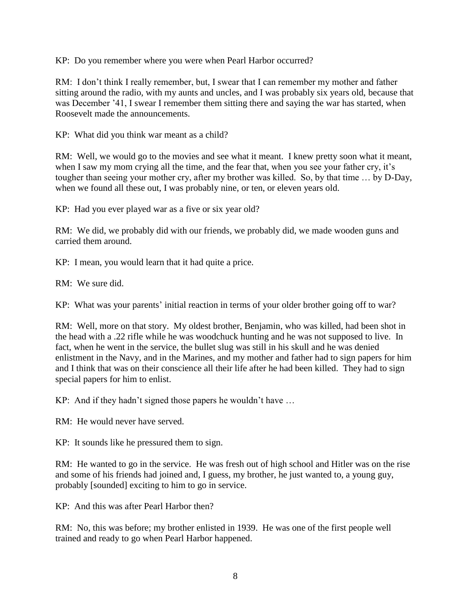KP: Do you remember where you were when Pearl Harbor occurred?

RM: I don't think I really remember, but, I swear that I can remember my mother and father sitting around the radio, with my aunts and uncles, and I was probably six years old, because that was December '41, I swear I remember them sitting there and saying the war has started, when Roosevelt made the announcements.

KP: What did you think war meant as a child?

RM: Well, we would go to the movies and see what it meant. I knew pretty soon what it meant, when I saw my mom crying all the time, and the fear that, when you see your father cry, it's tougher than seeing your mother cry, after my brother was killed. So, by that time … by D-Day, when we found all these out, I was probably nine, or ten, or eleven years old.

KP: Had you ever played war as a five or six year old?

RM: We did, we probably did with our friends, we probably did, we made wooden guns and carried them around.

KP: I mean, you would learn that it had quite a price.

RM: We sure did.

KP: What was your parents' initial reaction in terms of your older brother going off to war?

RM: Well, more on that story. My oldest brother, Benjamin, who was killed, had been shot in the head with a .22 rifle while he was woodchuck hunting and he was not supposed to live. In fact, when he went in the service, the bullet slug was still in his skull and he was denied enlistment in the Navy, and in the Marines, and my mother and father had to sign papers for him and I think that was on their conscience all their life after he had been killed. They had to sign special papers for him to enlist.

KP: And if they hadn't signed those papers he wouldn't have …

RM: He would never have served.

KP: It sounds like he pressured them to sign.

RM: He wanted to go in the service. He was fresh out of high school and Hitler was on the rise and some of his friends had joined and, I guess, my brother, he just wanted to, a young guy, probably [sounded] exciting to him to go in service.

KP: And this was after Pearl Harbor then?

RM: No, this was before; my brother enlisted in 1939. He was one of the first people well trained and ready to go when Pearl Harbor happened.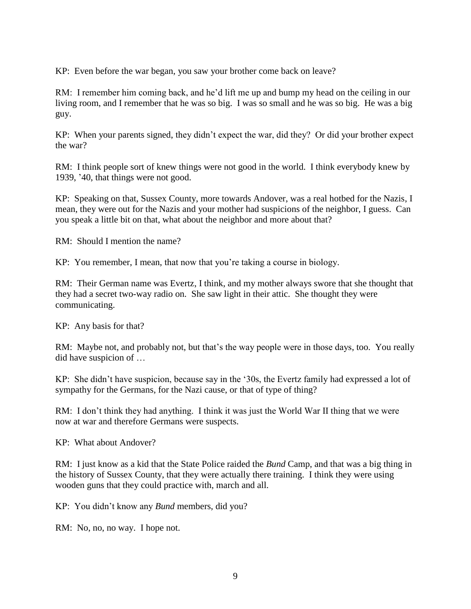KP: Even before the war began, you saw your brother come back on leave?

RM: I remember him coming back, and he'd lift me up and bump my head on the ceiling in our living room, and I remember that he was so big. I was so small and he was so big. He was a big guy.

KP: When your parents signed, they didn't expect the war, did they? Or did your brother expect the war?

RM: I think people sort of knew things were not good in the world. I think everybody knew by 1939, '40, that things were not good.

KP: Speaking on that, Sussex County, more towards Andover, was a real hotbed for the Nazis, I mean, they were out for the Nazis and your mother had suspicions of the neighbor, I guess. Can you speak a little bit on that, what about the neighbor and more about that?

RM: Should I mention the name?

KP: You remember, I mean, that now that you're taking a course in biology.

RM: Their German name was Evertz, I think, and my mother always swore that she thought that they had a secret two-way radio on. She saw light in their attic. She thought they were communicating.

KP: Any basis for that?

RM: Maybe not, and probably not, but that's the way people were in those days, too. You really did have suspicion of …

KP: She didn't have suspicion, because say in the '30s, the Evertz family had expressed a lot of sympathy for the Germans, for the Nazi cause, or that of type of thing?

RM: I don't think they had anything. I think it was just the World War II thing that we were now at war and therefore Germans were suspects.

KP: What about Andover?

RM: I just know as a kid that the State Police raided the *Bund* Camp, and that was a big thing in the history of Sussex County, that they were actually there training. I think they were using wooden guns that they could practice with, march and all.

KP: You didn't know any *Bund* members, did you?

RM: No, no, no way. I hope not.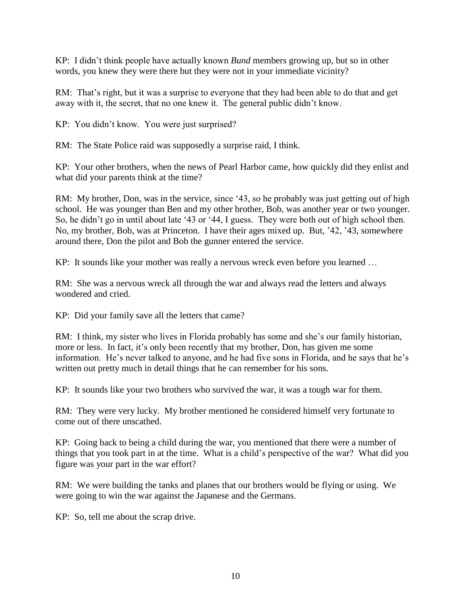KP: I didn't think people have actually known *Bund* members growing up, but so in other words, you knew they were there but they were not in your immediate vicinity?

RM: That's right, but it was a surprise to everyone that they had been able to do that and get away with it, the secret, that no one knew it. The general public didn't know.

KP: You didn't know. You were just surprised?

RM: The State Police raid was supposedly a surprise raid, I think.

KP: Your other brothers, when the news of Pearl Harbor came, how quickly did they enlist and what did your parents think at the time?

RM: My brother, Don, was in the service, since '43, so he probably was just getting out of high school. He was younger than Ben and my other brother, Bob, was another year or two younger. So, he didn't go in until about late '43 or '44, I guess. They were both out of high school then. No, my brother, Bob, was at Princeton. I have their ages mixed up. But, '42, '43, somewhere around there, Don the pilot and Bob the gunner entered the service.

KP: It sounds like your mother was really a nervous wreck even before you learned …

RM: She was a nervous wreck all through the war and always read the letters and always wondered and cried.

KP: Did your family save all the letters that came?

RM: I think, my sister who lives in Florida probably has some and she's our family historian, more or less. In fact, it's only been recently that my brother, Don, has given me some information. He's never talked to anyone, and he had five sons in Florida, and he says that he's written out pretty much in detail things that he can remember for his sons.

KP: It sounds like your two brothers who survived the war, it was a tough war for them.

RM: They were very lucky. My brother mentioned he considered himself very fortunate to come out of there unscathed.

KP: Going back to being a child during the war, you mentioned that there were a number of things that you took part in at the time. What is a child's perspective of the war? What did you figure was your part in the war effort?

RM: We were building the tanks and planes that our brothers would be flying or using. We were going to win the war against the Japanese and the Germans.

KP: So, tell me about the scrap drive.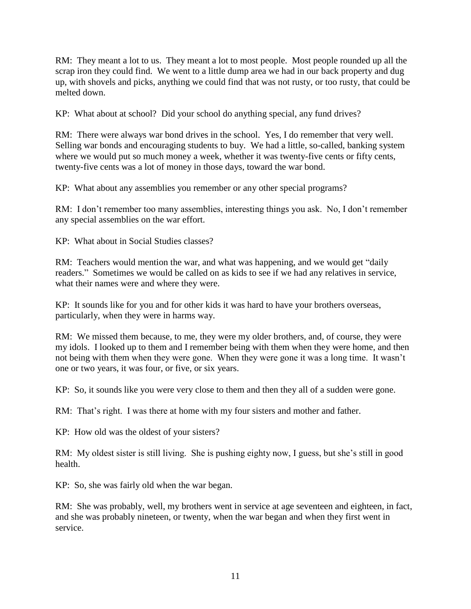RM: They meant a lot to us. They meant a lot to most people. Most people rounded up all the scrap iron they could find. We went to a little dump area we had in our back property and dug up, with shovels and picks, anything we could find that was not rusty, or too rusty, that could be melted down.

KP: What about at school? Did your school do anything special, any fund drives?

RM: There were always war bond drives in the school. Yes, I do remember that very well. Selling war bonds and encouraging students to buy. We had a little, so-called, banking system where we would put so much money a week, whether it was twenty-five cents or fifty cents, twenty-five cents was a lot of money in those days, toward the war bond.

KP: What about any assemblies you remember or any other special programs?

RM: I don't remember too many assemblies, interesting things you ask. No, I don't remember any special assemblies on the war effort.

KP: What about in Social Studies classes?

RM: Teachers would mention the war, and what was happening, and we would get "daily readers." Sometimes we would be called on as kids to see if we had any relatives in service, what their names were and where they were.

KP: It sounds like for you and for other kids it was hard to have your brothers overseas, particularly, when they were in harms way.

RM: We missed them because, to me, they were my older brothers, and, of course, they were my idols. I looked up to them and I remember being with them when they were home, and then not being with them when they were gone. When they were gone it was a long time. It wasn't one or two years, it was four, or five, or six years.

KP: So, it sounds like you were very close to them and then they all of a sudden were gone.

RM: That's right. I was there at home with my four sisters and mother and father.

KP: How old was the oldest of your sisters?

RM: My oldest sister is still living. She is pushing eighty now, I guess, but she's still in good health.

KP: So, she was fairly old when the war began.

RM: She was probably, well, my brothers went in service at age seventeen and eighteen, in fact, and she was probably nineteen, or twenty, when the war began and when they first went in service.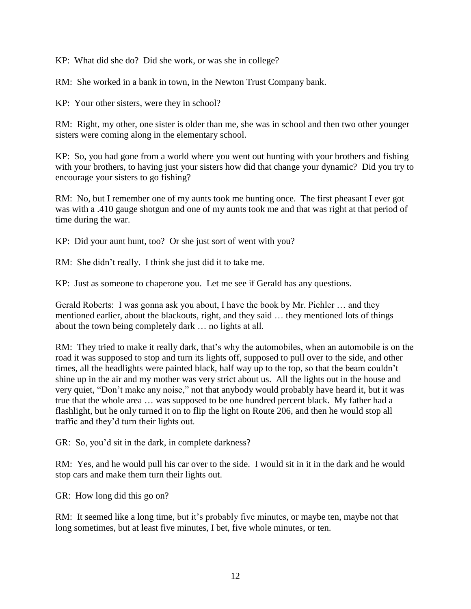KP: What did she do? Did she work, or was she in college?

RM: She worked in a bank in town, in the Newton Trust Company bank.

KP: Your other sisters, were they in school?

RM: Right, my other, one sister is older than me, she was in school and then two other younger sisters were coming along in the elementary school.

KP: So, you had gone from a world where you went out hunting with your brothers and fishing with your brothers, to having just your sisters how did that change your dynamic? Did you try to encourage your sisters to go fishing?

RM: No, but I remember one of my aunts took me hunting once. The first pheasant I ever got was with a .410 gauge shotgun and one of my aunts took me and that was right at that period of time during the war.

KP: Did your aunt hunt, too? Or she just sort of went with you?

RM: She didn't really. I think she just did it to take me.

KP: Just as someone to chaperone you. Let me see if Gerald has any questions.

Gerald Roberts: I was gonna ask you about, I have the book by Mr. Piehler … and they mentioned earlier, about the blackouts, right, and they said … they mentioned lots of things about the town being completely dark … no lights at all.

RM: They tried to make it really dark, that's why the automobiles, when an automobile is on the road it was supposed to stop and turn its lights off, supposed to pull over to the side, and other times, all the headlights were painted black, half way up to the top, so that the beam couldn't shine up in the air and my mother was very strict about us. All the lights out in the house and very quiet, "Don't make any noise," not that anybody would probably have heard it, but it was true that the whole area … was supposed to be one hundred percent black. My father had a flashlight, but he only turned it on to flip the light on Route 206, and then he would stop all traffic and they'd turn their lights out.

GR: So, you'd sit in the dark, in complete darkness?

RM: Yes, and he would pull his car over to the side. I would sit in it in the dark and he would stop cars and make them turn their lights out.

GR: How long did this go on?

RM: It seemed like a long time, but it's probably five minutes, or maybe ten, maybe not that long sometimes, but at least five minutes, I bet, five whole minutes, or ten.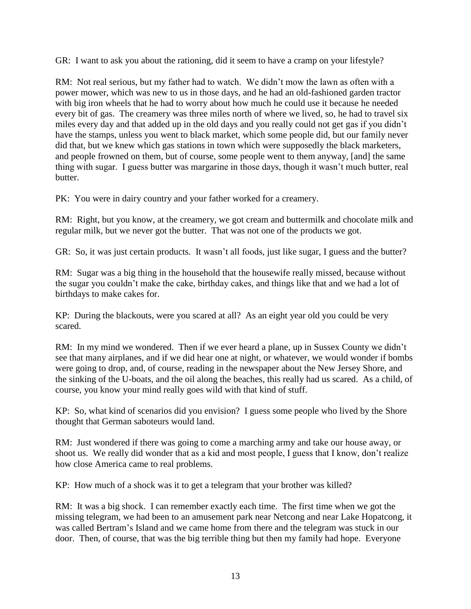GR: I want to ask you about the rationing, did it seem to have a cramp on your lifestyle?

RM: Not real serious, but my father had to watch. We didn't mow the lawn as often with a power mower, which was new to us in those days, and he had an old-fashioned garden tractor with big iron wheels that he had to worry about how much he could use it because he needed every bit of gas. The creamery was three miles north of where we lived, so, he had to travel six miles every day and that added up in the old days and you really could not get gas if you didn't have the stamps, unless you went to black market, which some people did, but our family never did that, but we knew which gas stations in town which were supposedly the black marketers, and people frowned on them, but of course, some people went to them anyway, [and] the same thing with sugar. I guess butter was margarine in those days, though it wasn't much butter, real butter.

PK: You were in dairy country and your father worked for a creamery.

RM: Right, but you know, at the creamery, we got cream and buttermilk and chocolate milk and regular milk, but we never got the butter. That was not one of the products we got.

GR: So, it was just certain products. It wasn't all foods, just like sugar, I guess and the butter?

RM: Sugar was a big thing in the household that the housewife really missed, because without the sugar you couldn't make the cake, birthday cakes, and things like that and we had a lot of birthdays to make cakes for.

KP: During the blackouts, were you scared at all? As an eight year old you could be very scared.

RM: In my mind we wondered. Then if we ever heard a plane, up in Sussex County we didn't see that many airplanes, and if we did hear one at night, or whatever, we would wonder if bombs were going to drop, and, of course, reading in the newspaper about the New Jersey Shore, and the sinking of the U-boats, and the oil along the beaches, this really had us scared. As a child, of course, you know your mind really goes wild with that kind of stuff.

KP: So, what kind of scenarios did you envision? I guess some people who lived by the Shore thought that German saboteurs would land.

RM: Just wondered if there was going to come a marching army and take our house away, or shoot us. We really did wonder that as a kid and most people, I guess that I know, don't realize how close America came to real problems.

KP: How much of a shock was it to get a telegram that your brother was killed?

RM: It was a big shock. I can remember exactly each time. The first time when we got the missing telegram, we had been to an amusement park near Netcong and near Lake Hopatcong, it was called Bertram's Island and we came home from there and the telegram was stuck in our door. Then, of course, that was the big terrible thing but then my family had hope. Everyone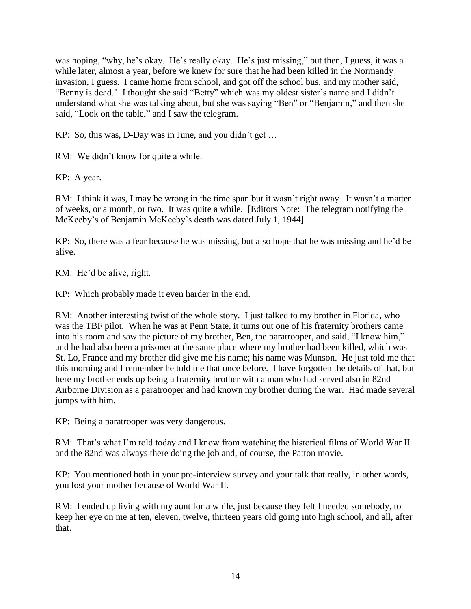was hoping, "why, he's okay. He's really okay. He's just missing," but then, I guess, it was a while later, almost a year, before we knew for sure that he had been killed in the Normandy invasion, I guess. I came home from school, and got off the school bus, and my mother said, "Benny is dead." I thought she said "Betty" which was my oldest sister's name and I didn't understand what she was talking about, but she was saying "Ben" or "Benjamin," and then she said, "Look on the table," and I saw the telegram.

KP: So, this was, D-Day was in June, and you didn't get …

RM: We didn't know for quite a while.

KP: A year.

RM: I think it was, I may be wrong in the time span but it wasn't right away. It wasn't a matter of weeks, or a month, or two. It was quite a while. [Editors Note: The telegram notifying the McKeeby's of Benjamin McKeeby's death was dated July 1, 1944]

KP: So, there was a fear because he was missing, but also hope that he was missing and he'd be alive.

RM: He'd be alive, right.

KP: Which probably made it even harder in the end.

RM: Another interesting twist of the whole story. I just talked to my brother in Florida, who was the TBF pilot. When he was at Penn State, it turns out one of his fraternity brothers came into his room and saw the picture of my brother, Ben, the paratrooper, and said, "I know him," and he had also been a prisoner at the same place where my brother had been killed, which was St. Lo, France and my brother did give me his name; his name was Munson. He just told me that this morning and I remember he told me that once before. I have forgotten the details of that, but here my brother ends up being a fraternity brother with a man who had served also in 82nd Airborne Division as a paratrooper and had known my brother during the war. Had made several jumps with him.

KP: Being a paratrooper was very dangerous.

RM: That's what I'm told today and I know from watching the historical films of World War II and the 82nd was always there doing the job and, of course, the Patton movie.

KP: You mentioned both in your pre-interview survey and your talk that really, in other words, you lost your mother because of World War II.

RM: I ended up living with my aunt for a while, just because they felt I needed somebody, to keep her eye on me at ten, eleven, twelve, thirteen years old going into high school, and all, after that.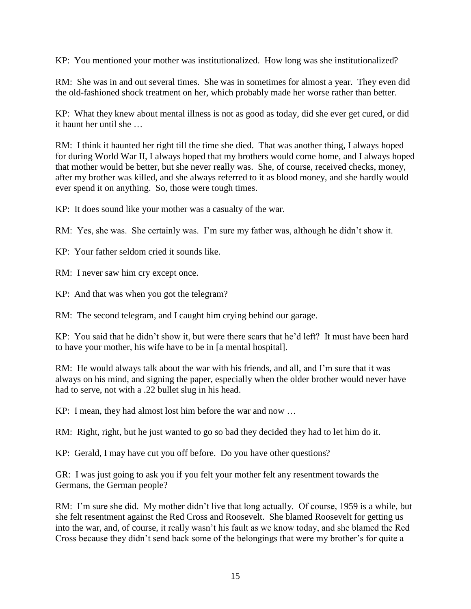KP: You mentioned your mother was institutionalized. How long was she institutionalized?

RM: She was in and out several times. She was in sometimes for almost a year. They even did the old-fashioned shock treatment on her, which probably made her worse rather than better.

KP: What they knew about mental illness is not as good as today, did she ever get cured, or did it haunt her until she

RM: I think it haunted her right till the time she died. That was another thing, I always hoped for during World War II, I always hoped that my brothers would come home, and I always hoped that mother would be better, but she never really was. She, of course, received checks, money, after my brother was killed, and she always referred to it as blood money, and she hardly would ever spend it on anything. So, those were tough times.

KP: It does sound like your mother was a casualty of the war.

RM: Yes, she was. She certainly was. I'm sure my father was, although he didn't show it.

KP: Your father seldom cried it sounds like.

RM: I never saw him cry except once.

KP: And that was when you got the telegram?

RM: The second telegram, and I caught him crying behind our garage.

KP: You said that he didn't show it, but were there scars that he'd left? It must have been hard to have your mother, his wife have to be in [a mental hospital].

RM: He would always talk about the war with his friends, and all, and I'm sure that it was always on his mind, and signing the paper, especially when the older brother would never have had to serve, not with a .22 bullet slug in his head.

KP: I mean, they had almost lost him before the war and now …

RM: Right, right, but he just wanted to go so bad they decided they had to let him do it.

KP: Gerald, I may have cut you off before. Do you have other questions?

GR: I was just going to ask you if you felt your mother felt any resentment towards the Germans, the German people?

RM: I'm sure she did. My mother didn't live that long actually. Of course, 1959 is a while, but she felt resentment against the Red Cross and Roosevelt. She blamed Roosevelt for getting us into the war, and, of course, it really wasn't his fault as we know today, and she blamed the Red Cross because they didn't send back some of the belongings that were my brother's for quite a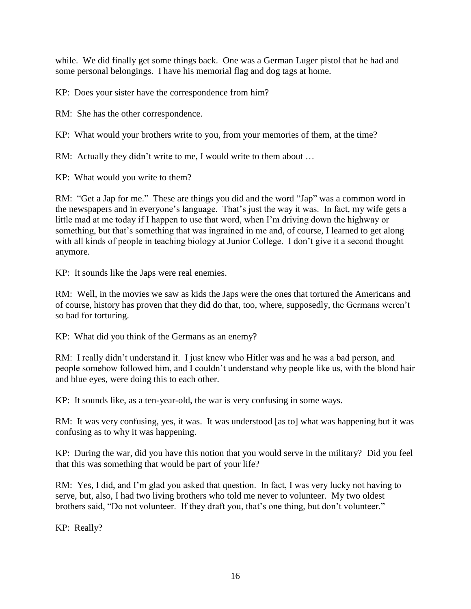while. We did finally get some things back. One was a German Luger pistol that he had and some personal belongings. I have his memorial flag and dog tags at home.

KP: Does your sister have the correspondence from him?

RM: She has the other correspondence.

KP: What would your brothers write to you, from your memories of them, at the time?

RM: Actually they didn't write to me, I would write to them about ...

KP: What would you write to them?

RM: "Get a Jap for me." These are things you did and the word "Jap" was a common word in the newspapers and in everyone's language. That's just the way it was. In fact, my wife gets a little mad at me today if I happen to use that word, when I'm driving down the highway or something, but that's something that was ingrained in me and, of course, I learned to get along with all kinds of people in teaching biology at Junior College. I don't give it a second thought anymore.

KP: It sounds like the Japs were real enemies.

RM: Well, in the movies we saw as kids the Japs were the ones that tortured the Americans and of course, history has proven that they did do that, too, where, supposedly, the Germans weren't so bad for torturing.

KP: What did you think of the Germans as an enemy?

RM: I really didn't understand it. I just knew who Hitler was and he was a bad person, and people somehow followed him, and I couldn't understand why people like us, with the blond hair and blue eyes, were doing this to each other.

KP: It sounds like, as a ten-year-old, the war is very confusing in some ways.

RM: It was very confusing, yes, it was. It was understood [as to] what was happening but it was confusing as to why it was happening.

KP: During the war, did you have this notion that you would serve in the military? Did you feel that this was something that would be part of your life?

RM: Yes, I did, and I'm glad you asked that question. In fact, I was very lucky not having to serve, but, also, I had two living brothers who told me never to volunteer. My two oldest brothers said, "Do not volunteer. If they draft you, that's one thing, but don't volunteer."

KP: Really?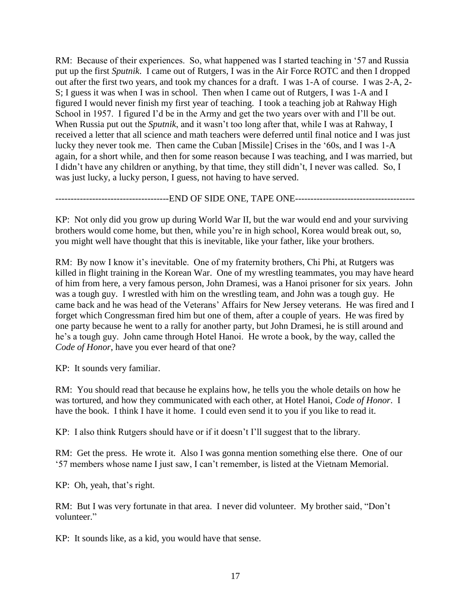RM: Because of their experiences. So, what happened was I started teaching in '57 and Russia put up the first *Sputnik*. I came out of Rutgers, I was in the Air Force ROTC and then I dropped out after the first two years, and took my chances for a draft. I was 1-A of course. I was 2-A, 2- S; I guess it was when I was in school. Then when I came out of Rutgers, I was 1-A and I figured I would never finish my first year of teaching. I took a teaching job at Rahway High School in 1957. I figured I'd be in the Army and get the two years over with and I'll be out. When Russia put out the *Sputnik*, and it wasn't too long after that, while I was at Rahway, I received a letter that all science and math teachers were deferred until final notice and I was just lucky they never took me. Then came the Cuban [Missile] Crises in the '60s, and I was 1-A again, for a short while, and then for some reason because I was teaching, and I was married, but I didn't have any children or anything, by that time, they still didn't, I never was called. So, I was just lucky, a lucky person, I guess, not having to have served.

---------------------------END OF SIDE ONE, TAPE ONE--------------------------------

KP: Not only did you grow up during World War II, but the war would end and your surviving brothers would come home, but then, while you're in high school, Korea would break out, so, you might well have thought that this is inevitable, like your father, like your brothers.

RM: By now I know it's inevitable. One of my fraternity brothers, Chi Phi, at Rutgers was killed in flight training in the Korean War. One of my wrestling teammates, you may have heard of him from here, a very famous person, John Dramesi, was a Hanoi prisoner for six years. John was a tough guy. I wrestled with him on the wrestling team, and John was a tough guy. He came back and he was head of the Veterans' Affairs for New Jersey veterans. He was fired and I forget which Congressman fired him but one of them, after a couple of years. He was fired by one party because he went to a rally for another party, but John Dramesi, he is still around and he's a tough guy. John came through Hotel Hanoi. He wrote a book, by the way, called the *Code of Honor*, have you ever heard of that one?

KP: It sounds very familiar.

RM: You should read that because he explains how, he tells you the whole details on how he was tortured, and how they communicated with each other, at Hotel Hanoi, *Code of Honor*. I have the book. I think I have it home. I could even send it to you if you like to read it.

KP: I also think Rutgers should have or if it doesn't I'll suggest that to the library.

RM: Get the press. He wrote it. Also I was gonna mention something else there. One of our '57 members whose name I just saw, I can't remember, is listed at the Vietnam Memorial.

KP: Oh, yeah, that's right.

RM: But I was very fortunate in that area. I never did volunteer. My brother said, "Don't volunteer."

KP: It sounds like, as a kid, you would have that sense.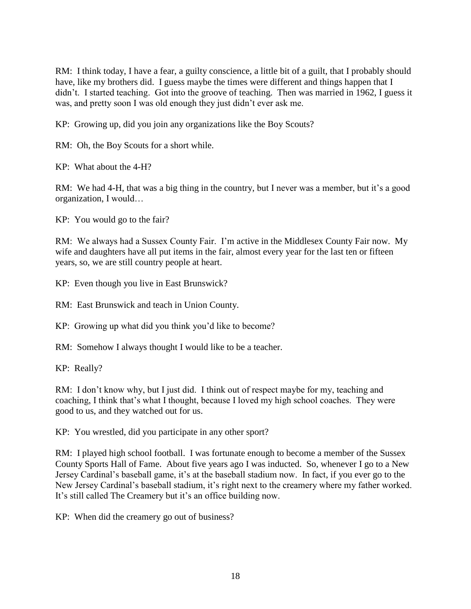RM: I think today, I have a fear, a guilty conscience, a little bit of a guilt, that I probably should have, like my brothers did. I guess maybe the times were different and things happen that I didn't. I started teaching. Got into the groove of teaching. Then was married in 1962, I guess it was, and pretty soon I was old enough they just didn't ever ask me.

KP: Growing up, did you join any organizations like the Boy Scouts?

RM: Oh, the Boy Scouts for a short while.

KP: What about the 4-H?

RM: We had 4-H, that was a big thing in the country, but I never was a member, but it's a good organization, I would…

KP: You would go to the fair?

RM: We always had a Sussex County Fair. I'm active in the Middlesex County Fair now. My wife and daughters have all put items in the fair, almost every year for the last ten or fifteen years, so, we are still country people at heart.

KP: Even though you live in East Brunswick?

RM: East Brunswick and teach in Union County.

KP: Growing up what did you think you'd like to become?

RM: Somehow I always thought I would like to be a teacher.

KP: Really?

RM: I don't know why, but I just did. I think out of respect maybe for my, teaching and coaching, I think that's what I thought, because I loved my high school coaches. They were good to us, and they watched out for us.

KP: You wrestled, did you participate in any other sport?

RM: I played high school football. I was fortunate enough to become a member of the Sussex County Sports Hall of Fame. About five years ago I was inducted. So, whenever I go to a New Jersey Cardinal's baseball game, it's at the baseball stadium now. In fact, if you ever go to the New Jersey Cardinal's baseball stadium, it's right next to the creamery where my father worked. It's still called The Creamery but it's an office building now.

KP: When did the creamery go out of business?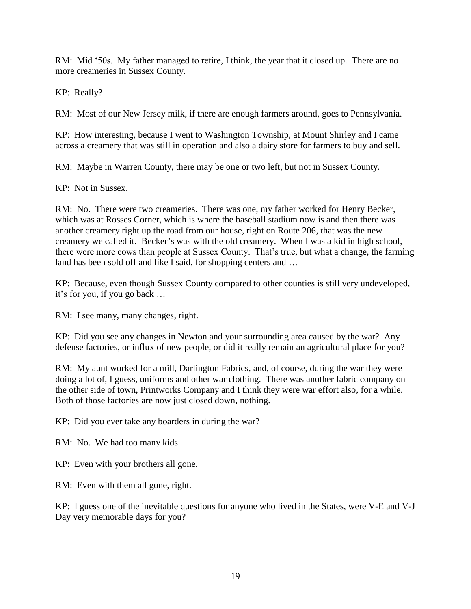RM: Mid '50s. My father managed to retire, I think, the year that it closed up. There are no more creameries in Sussex County.

KP: Really?

RM: Most of our New Jersey milk, if there are enough farmers around, goes to Pennsylvania.

KP: How interesting, because I went to Washington Township, at Mount Shirley and I came across a creamery that was still in operation and also a dairy store for farmers to buy and sell.

RM: Maybe in Warren County, there may be one or two left, but not in Sussex County.

KP: Not in Sussex.

RM: No. There were two creameries. There was one, my father worked for Henry Becker, which was at Rosses Corner, which is where the baseball stadium now is and then there was another creamery right up the road from our house, right on Route 206, that was the new creamery we called it. Becker's was with the old creamery. When I was a kid in high school, there were more cows than people at Sussex County. That's true, but what a change, the farming land has been sold off and like I said, for shopping centers and …

KP: Because, even though Sussex County compared to other counties is still very undeveloped, it's for you, if you go back …

RM: I see many, many changes, right.

KP: Did you see any changes in Newton and your surrounding area caused by the war? Any defense factories, or influx of new people, or did it really remain an agricultural place for you?

RM: My aunt worked for a mill, Darlington Fabrics, and, of course, during the war they were doing a lot of, I guess, uniforms and other war clothing. There was another fabric company on the other side of town, Printworks Company and I think they were war effort also, for a while. Both of those factories are now just closed down, nothing.

KP: Did you ever take any boarders in during the war?

RM: No. We had too many kids.

KP: Even with your brothers all gone.

RM: Even with them all gone, right.

KP: I guess one of the inevitable questions for anyone who lived in the States, were V-E and V-J Day very memorable days for you?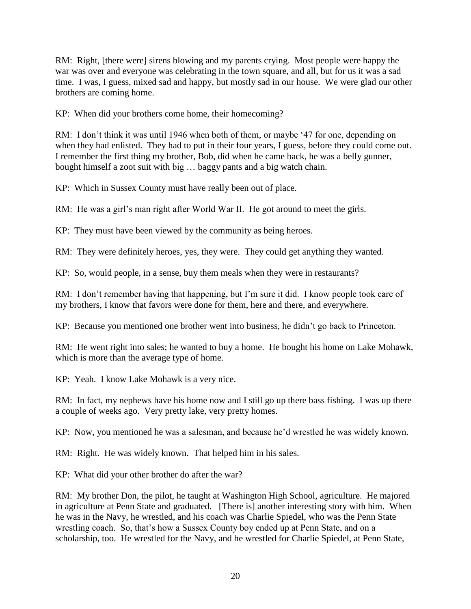RM: Right, [there were] sirens blowing and my parents crying. Most people were happy the war was over and everyone was celebrating in the town square, and all, but for us it was a sad time. I was, I guess, mixed sad and happy, but mostly sad in our house. We were glad our other brothers are coming home.

KP: When did your brothers come home, their homecoming?

RM: I don't think it was until 1946 when both of them, or maybe '47 for one, depending on when they had enlisted. They had to put in their four years, I guess, before they could come out. I remember the first thing my brother, Bob, did when he came back, he was a belly gunner, bought himself a zoot suit with big … baggy pants and a big watch chain.

KP: Which in Sussex County must have really been out of place.

RM: He was a girl's man right after World War II. He got around to meet the girls.

KP: They must have been viewed by the community as being heroes.

RM: They were definitely heroes, yes, they were. They could get anything they wanted.

KP: So, would people, in a sense, buy them meals when they were in restaurants?

RM: I don't remember having that happening, but I'm sure it did. I know people took care of my brothers, I know that favors were done for them, here and there, and everywhere.

KP: Because you mentioned one brother went into business, he didn't go back to Princeton.

RM: He went right into sales; he wanted to buy a home. He bought his home on Lake Mohawk, which is more than the average type of home.

KP: Yeah. I know Lake Mohawk is a very nice.

RM: In fact, my nephews have his home now and I still go up there bass fishing. I was up there a couple of weeks ago. Very pretty lake, very pretty homes.

KP: Now, you mentioned he was a salesman, and because he'd wrestled he was widely known.

RM: Right. He was widely known. That helped him in his sales.

KP: What did your other brother do after the war?

RM: My brother Don, the pilot, he taught at Washington High School, agriculture. He majored in agriculture at Penn State and graduated. [There is] another interesting story with him. When he was in the Navy, he wrestled, and his coach was Charlie Spiedel, who was the Penn State wrestling coach. So, that's how a Sussex County boy ended up at Penn State, and on a scholarship, too. He wrestled for the Navy, and he wrestled for Charlie Spiedel, at Penn State,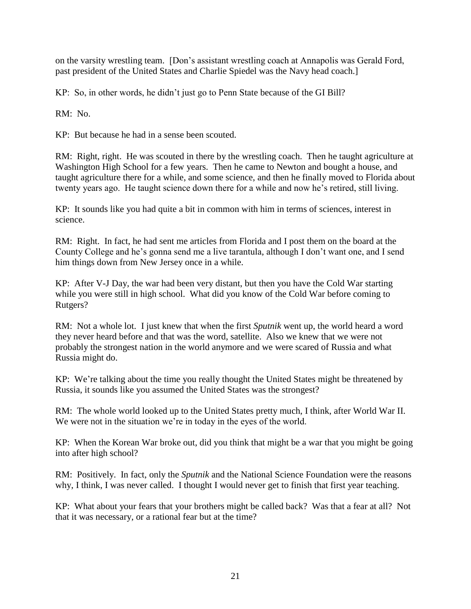on the varsity wrestling team. [Don's assistant wrestling coach at Annapolis was Gerald Ford, past president of the United States and Charlie Spiedel was the Navy head coach.]

KP: So, in other words, he didn't just go to Penn State because of the GI Bill?

RM: No.

KP: But because he had in a sense been scouted.

RM: Right, right. He was scouted in there by the wrestling coach. Then he taught agriculture at Washington High School for a few years. Then he came to Newton and bought a house, and taught agriculture there for a while, and some science, and then he finally moved to Florida about twenty years ago. He taught science down there for a while and now he's retired, still living.

KP: It sounds like you had quite a bit in common with him in terms of sciences, interest in science.

RM: Right. In fact, he had sent me articles from Florida and I post them on the board at the County College and he's gonna send me a live tarantula, although I don't want one, and I send him things down from New Jersey once in a while.

KP: After V-J Day, the war had been very distant, but then you have the Cold War starting while you were still in high school. What did you know of the Cold War before coming to Rutgers?

RM: Not a whole lot. I just knew that when the first *Sputnik* went up, the world heard a word they never heard before and that was the word, satellite. Also we knew that we were not probably the strongest nation in the world anymore and we were scared of Russia and what Russia might do.

KP: We're talking about the time you really thought the United States might be threatened by Russia, it sounds like you assumed the United States was the strongest?

RM: The whole world looked up to the United States pretty much, I think, after World War II. We were not in the situation we're in today in the eyes of the world.

KP: When the Korean War broke out, did you think that might be a war that you might be going into after high school?

RM: Positively. In fact, only the *Sputnik* and the National Science Foundation were the reasons why, I think, I was never called. I thought I would never get to finish that first year teaching.

KP: What about your fears that your brothers might be called back? Was that a fear at all? Not that it was necessary, or a rational fear but at the time?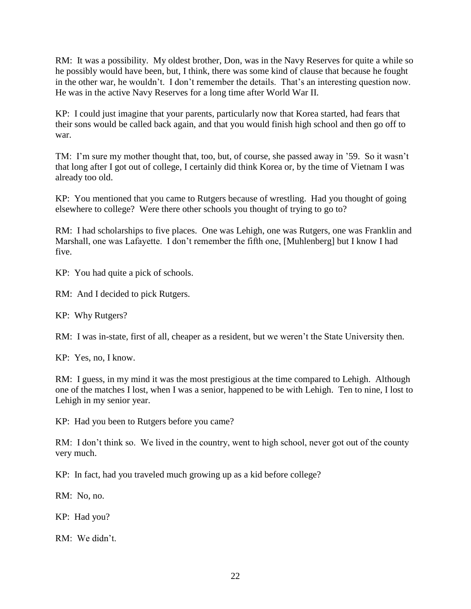RM: It was a possibility. My oldest brother, Don, was in the Navy Reserves for quite a while so he possibly would have been, but, I think, there was some kind of clause that because he fought in the other war, he wouldn't. I don't remember the details. That's an interesting question now. He was in the active Navy Reserves for a long time after World War II.

KP: I could just imagine that your parents, particularly now that Korea started, had fears that their sons would be called back again, and that you would finish high school and then go off to war.

TM: I'm sure my mother thought that, too, but, of course, she passed away in '59. So it wasn't that long after I got out of college, I certainly did think Korea or, by the time of Vietnam I was already too old.

KP: You mentioned that you came to Rutgers because of wrestling. Had you thought of going elsewhere to college? Were there other schools you thought of trying to go to?

RM: I had scholarships to five places. One was Lehigh, one was Rutgers, one was Franklin and Marshall, one was Lafayette. I don't remember the fifth one, [Muhlenberg] but I know I had five.

KP: You had quite a pick of schools.

RM: And I decided to pick Rutgers.

KP: Why Rutgers?

RM: I was in-state, first of all, cheaper as a resident, but we weren't the State University then.

KP: Yes, no, I know.

RM: I guess, in my mind it was the most prestigious at the time compared to Lehigh. Although one of the matches I lost, when I was a senior, happened to be with Lehigh. Ten to nine, I lost to Lehigh in my senior year.

KP: Had you been to Rutgers before you came?

RM: I don't think so. We lived in the country, went to high school, never got out of the county very much.

KP: In fact, had you traveled much growing up as a kid before college?

RM: No, no.

KP: Had you?

RM: We didn't.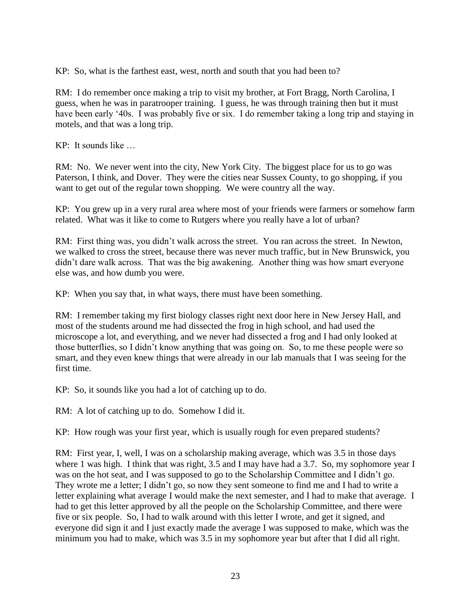KP: So, what is the farthest east, west, north and south that you had been to?

RM: I do remember once making a trip to visit my brother, at Fort Bragg, North Carolina, I guess, when he was in paratrooper training. I guess, he was through training then but it must have been early '40s. I was probably five or six. I do remember taking a long trip and staying in motels, and that was a long trip.

KP: It sounds like …

RM: No. We never went into the city, New York City. The biggest place for us to go was Paterson, I think, and Dover. They were the cities near Sussex County, to go shopping, if you want to get out of the regular town shopping. We were country all the way.

KP: You grew up in a very rural area where most of your friends were farmers or somehow farm related. What was it like to come to Rutgers where you really have a lot of urban?

RM: First thing was, you didn't walk across the street. You ran across the street. In Newton, we walked to cross the street, because there was never much traffic, but in New Brunswick, you didn't dare walk across. That was the big awakening. Another thing was how smart everyone else was, and how dumb you were.

KP: When you say that, in what ways, there must have been something.

RM: I remember taking my first biology classes right next door here in New Jersey Hall, and most of the students around me had dissected the frog in high school, and had used the microscope a lot, and everything, and we never had dissected a frog and I had only looked at those butterflies, so I didn't know anything that was going on. So, to me these people were so smart, and they even knew things that were already in our lab manuals that I was seeing for the first time.

KP: So, it sounds like you had a lot of catching up to do.

RM: A lot of catching up to do. Somehow I did it.

KP: How rough was your first year, which is usually rough for even prepared students?

RM: First year, I, well, I was on a scholarship making average, which was 3.5 in those days where 1 was high. I think that was right, 3.5 and I may have had a 3.7. So, my sophomore year I was on the hot seat, and I was supposed to go to the Scholarship Committee and I didn't go. They wrote me a letter; I didn't go, so now they sent someone to find me and I had to write a letter explaining what average I would make the next semester, and I had to make that average. I had to get this letter approved by all the people on the Scholarship Committee, and there were five or six people. So, I had to walk around with this letter I wrote, and get it signed, and everyone did sign it and I just exactly made the average I was supposed to make, which was the minimum you had to make, which was 3.5 in my sophomore year but after that I did all right.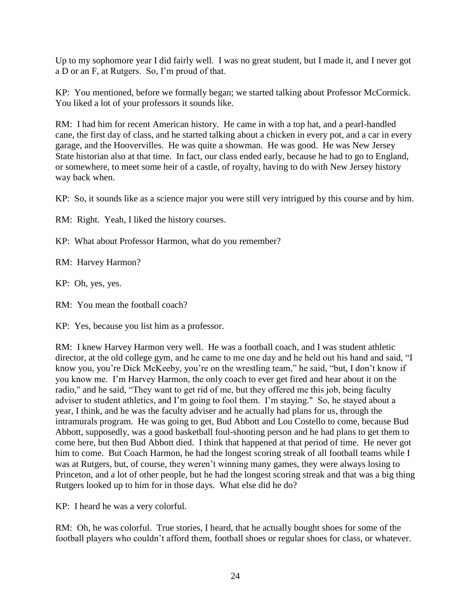Up to my sophomore year I did fairly well. I was no great student, but I made it, and I never got a D or an F, at Rutgers. So, I'm proud of that.

KP: You mentioned, before we formally began; we started talking about Professor McCormick. You liked a lot of your professors it sounds like.

RM: I had him for recent American history. He came in with a top hat, and a pearl-handled cane, the first day of class, and he started talking about a chicken in every pot, and a car in every garage, and the Hoovervilles. He was quite a showman. He was good. He was New Jersey State historian also at that time. In fact, our class ended early, because he had to go to England, or somewhere, to meet some heir of a castle, of royalty, having to do with New Jersey history way back when.

KP: So, it sounds like as a science major you were still very intrigued by this course and by him.

RM: Right. Yeah, I liked the history courses.

KP: What about Professor Harmon, what do you remember?

RM: Harvey Harmon?

KP: Oh, yes, yes.

RM: You mean the football coach?

KP: Yes, because you list him as a professor.

RM: I knew Harvey Harmon very well. He was a football coach, and I was student athletic director, at the old college gym, and he came to me one day and he held out his hand and said, "I know you, you're Dick McKeeby, you're on the wrestling team," he said, "but, I don't know if you know me. I'm Harvey Harmon, the only coach to ever get fired and hear about it on the radio," and he said, "They want to get rid of me, but they offered me this job, being faculty adviser to student athletics, and I'm going to fool them. I'm staying." So, he stayed about a year, I think, and he was the faculty adviser and he actually had plans for us, through the intramurals program. He was going to get, Bud Abbott and Lou Costello to come, because Bud Abbott, supposedly, was a good basketball foul-shooting person and he had plans to get them to come here, but then Bud Abbott died. I think that happened at that period of time. He never got him to come. But Coach Harmon, he had the longest scoring streak of all football teams while I was at Rutgers, but, of course, they weren't winning many games, they were always losing to Princeton, and a lot of other people, but he had the longest scoring streak and that was a big thing Rutgers looked up to him for in those days. What else did he do?

KP: I heard he was a very colorful.

RM: Oh, he was colorful. True stories, I heard, that he actually bought shoes for some of the football players who couldn't afford them, football shoes or regular shoes for class, or whatever.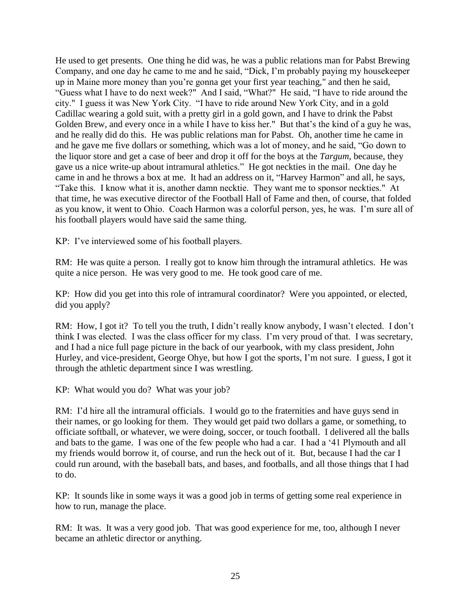He used to get presents. One thing he did was, he was a public relations man for Pabst Brewing Company, and one day he came to me and he said, "Dick, I'm probably paying my housekeeper up in Maine more money than you're gonna get your first year teaching," and then he said, "Guess what I have to do next week?" And I said, "What?" He said, "I have to ride around the city." I guess it was New York City. "I have to ride around New York City, and in a gold Cadillac wearing a gold suit, with a pretty girl in a gold gown, and I have to drink the Pabst Golden Brew, and every once in a while I have to kiss her." But that's the kind of a guy he was, and he really did do this. He was public relations man for Pabst. Oh, another time he came in and he gave me five dollars or something, which was a lot of money, and he said, "Go down to the liquor store and get a case of beer and drop it off for the boys at the *Targum*, because, they gave us a nice write-up about intramural athletics." He got neckties in the mail. One day he came in and he throws a box at me. It had an address on it, "Harvey Harmon" and all, he says, "Take this. I know what it is, another damn necktie. They want me to sponsor neckties." At that time, he was executive director of the Football Hall of Fame and then, of course, that folded as you know, it went to Ohio. Coach Harmon was a colorful person, yes, he was. I'm sure all of his football players would have said the same thing.

KP: I've interviewed some of his football players.

RM: He was quite a person. I really got to know him through the intramural athletics. He was quite a nice person. He was very good to me. He took good care of me.

KP: How did you get into this role of intramural coordinator? Were you appointed, or elected, did you apply?

RM: How, I got it? To tell you the truth, I didn't really know anybody, I wasn't elected. I don't think I was elected. I was the class officer for my class. I'm very proud of that. I was secretary, and I had a nice full page picture in the back of our yearbook, with my class president, John Hurley, and vice-president, George Ohye, but how I got the sports, I'm not sure. I guess, I got it through the athletic department since I was wrestling.

KP: What would you do? What was your job?

RM: I'd hire all the intramural officials. I would go to the fraternities and have guys send in their names, or go looking for them. They would get paid two dollars a game, or something, to officiate softball, or whatever, we were doing, soccer, or touch football. I delivered all the balls and bats to the game. I was one of the few people who had a car. I had a '41 Plymouth and all my friends would borrow it, of course, and run the heck out of it. But, because I had the car I could run around, with the baseball bats, and bases, and footballs, and all those things that I had to do.

KP: It sounds like in some ways it was a good job in terms of getting some real experience in how to run, manage the place.

RM: It was. It was a very good job. That was good experience for me, too, although I never became an athletic director or anything.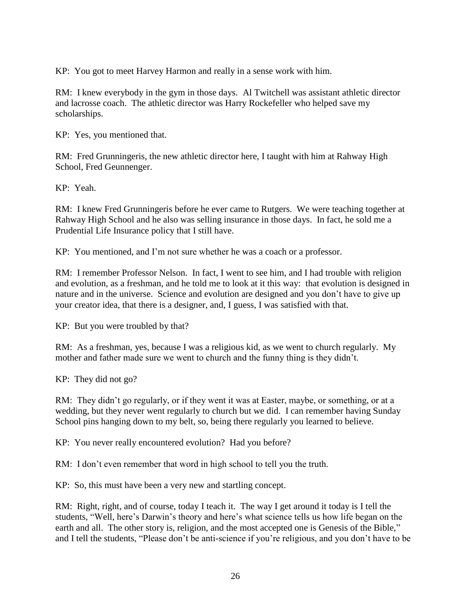KP: You got to meet Harvey Harmon and really in a sense work with him.

RM: I knew everybody in the gym in those days. Al Twitchell was assistant athletic director and lacrosse coach. The athletic director was Harry Rockefeller who helped save my scholarships.

KP: Yes, you mentioned that.

RM: Fred Grunningeris, the new athletic director here, I taught with him at Rahway High School, Fred Geunnenger.

KP: Yeah.

RM: I knew Fred Grunningeris before he ever came to Rutgers. We were teaching together at Rahway High School and he also was selling insurance in those days. In fact, he sold me a Prudential Life Insurance policy that I still have.

KP: You mentioned, and I'm not sure whether he was a coach or a professor.

RM: I remember Professor Nelson. In fact, I went to see him, and I had trouble with religion and evolution, as a freshman, and he told me to look at it this way: that evolution is designed in nature and in the universe. Science and evolution are designed and you don't have to give up your creator idea, that there is a designer, and, I guess, I was satisfied with that.

KP: But you were troubled by that?

RM: As a freshman, yes, because I was a religious kid, as we went to church regularly. My mother and father made sure we went to church and the funny thing is they didn't.

KP: They did not go?

RM: They didn't go regularly, or if they went it was at Easter, maybe, or something, or at a wedding, but they never went regularly to church but we did. I can remember having Sunday School pins hanging down to my belt, so, being there regularly you learned to believe.

KP: You never really encountered evolution? Had you before?

RM: I don't even remember that word in high school to tell you the truth.

KP: So, this must have been a very new and startling concept.

RM: Right, right, and of course, today I teach it. The way I get around it today is I tell the students, "Well, here's Darwin's theory and here's what science tells us how life began on the earth and all. The other story is, religion, and the most accepted one is Genesis of the Bible," and I tell the students, "Please don't be anti-science if you're religious, and you don't have to be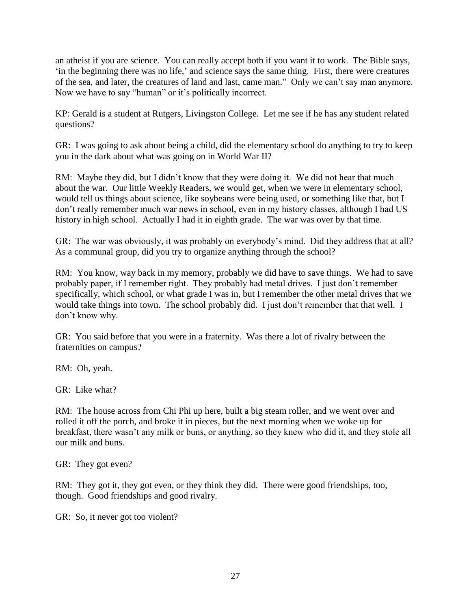an atheist if you are science. You can really accept both if you want it to work. The Bible says, 'in the beginning there was no life,' and science says the same thing. First, there were creatures of the sea, and later, the creatures of land and last, came man." Only we can't say man anymore. Now we have to say "human" or it's politically incorrect.

KP: Gerald is a student at Rutgers, Livingston College. Let me see if he has any student related questions?

GR: I was going to ask about being a child, did the elementary school do anything to try to keep you in the dark about what was going on in World War II?

RM: Maybe they did, but I didn't know that they were doing it. We did not hear that much about the war. Our little Weekly Readers, we would get, when we were in elementary school, would tell us things about science, like soybeans were being used, or something like that, but I don't really remember much war news in school, even in my history classes, although I had US history in high school. Actually I had it in eighth grade. The war was over by that time.

GR: The war was obviously, it was probably on everybody's mind. Did they address that at all? As a communal group, did you try to organize anything through the school?

RM: You know, way back in my memory, probably we did have to save things. We had to save probably paper, if I remember right. They probably had metal drives. I just don't remember specifically, which school, or what grade I was in, but I remember the other metal drives that we would take things into town. The school probably did. I just don't remember that that well. I don't know why.

GR: You said before that you were in a fraternity. Was there a lot of rivalry between the fraternities on campus?

RM: Oh, yeah.

GR: Like what?

RM: The house across from Chi Phi up here, built a big steam roller, and we went over and rolled it off the porch, and broke it in pieces, but the next morning when we woke up for breakfast, there wasn't any milk or buns, or anything, so they knew who did it, and they stole all our milk and buns.

GR: They got even?

RM: They got it, they got even, or they think they did. There were good friendships, too, though. Good friendships and good rivalry.

GR: So, it never got too violent?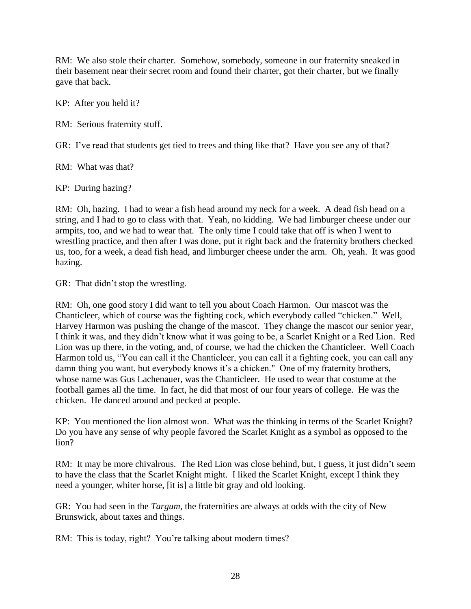RM: We also stole their charter. Somehow, somebody, someone in our fraternity sneaked in their basement near their secret room and found their charter, got their charter, but we finally gave that back.

KP: After you held it?

RM: Serious fraternity stuff.

GR: I've read that students get tied to trees and thing like that? Have you see any of that?

RM: What was that?

KP: During hazing?

RM: Oh, hazing. I had to wear a fish head around my neck for a week. A dead fish head on a string, and I had to go to class with that. Yeah, no kidding. We had limburger cheese under our armpits, too, and we had to wear that. The only time I could take that off is when I went to wrestling practice, and then after I was done, put it right back and the fraternity brothers checked us, too, for a week, a dead fish head, and limburger cheese under the arm. Oh, yeah. It was good hazing.

GR: That didn't stop the wrestling.

RM: Oh, one good story I did want to tell you about Coach Harmon. Our mascot was the Chanticleer, which of course was the fighting cock, which everybody called "chicken." Well, Harvey Harmon was pushing the change of the mascot. They change the mascot our senior year, I think it was, and they didn't know what it was going to be, a Scarlet Knight or a Red Lion. Red Lion was up there, in the voting, and, of course, we had the chicken the Chanticleer. Well Coach Harmon told us, "You can call it the Chanticleer, you can call it a fighting cock, you can call any damn thing you want, but everybody knows it's a chicken." One of my fraternity brothers, whose name was Gus Lachenauer, was the Chanticleer. He used to wear that costume at the football games all the time. In fact, he did that most of our four years of college. He was the chicken. He danced around and pecked at people.

KP: You mentioned the lion almost won. What was the thinking in terms of the Scarlet Knight? Do you have any sense of why people favored the Scarlet Knight as a symbol as opposed to the lion?

RM: It may be more chivalrous. The Red Lion was close behind, but, I guess, it just didn't seem to have the class that the Scarlet Knight might. I liked the Scarlet Knight, except I think they need a younger, whiter horse, [it is] a little bit gray and old looking.

GR: You had seen in the *Targum*, the fraternities are always at odds with the city of New Brunswick, about taxes and things.

RM: This is today, right? You're talking about modern times?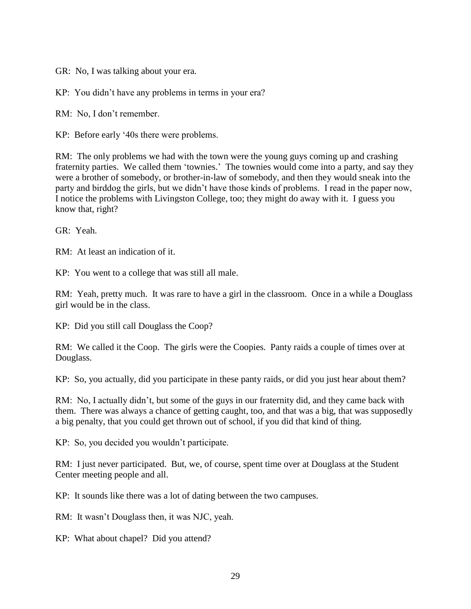GR: No, I was talking about your era.

KP: You didn't have any problems in terms in your era?

RM: No, I don't remember.

KP: Before early '40s there were problems.

RM: The only problems we had with the town were the young guys coming up and crashing fraternity parties. We called them 'townies.' The townies would come into a party, and say they were a brother of somebody, or brother-in-law of somebody, and then they would sneak into the party and birddog the girls, but we didn't have those kinds of problems. I read in the paper now, I notice the problems with Livingston College, too; they might do away with it. I guess you know that, right?

GR: Yeah.

RM: At least an indication of it.

KP: You went to a college that was still all male.

RM: Yeah, pretty much. It was rare to have a girl in the classroom. Once in a while a Douglass girl would be in the class.

KP: Did you still call Douglass the Coop?

RM: We called it the Coop. The girls were the Coopies. Panty raids a couple of times over at Douglass.

KP: So, you actually, did you participate in these panty raids, or did you just hear about them?

RM: No, I actually didn't, but some of the guys in our fraternity did, and they came back with them. There was always a chance of getting caught, too, and that was a big, that was supposedly a big penalty, that you could get thrown out of school, if you did that kind of thing.

KP: So, you decided you wouldn't participate.

RM: I just never participated. But, we, of course, spent time over at Douglass at the Student Center meeting people and all.

KP: It sounds like there was a lot of dating between the two campuses.

RM: It wasn't Douglass then, it was NJC, yeah.

KP: What about chapel? Did you attend?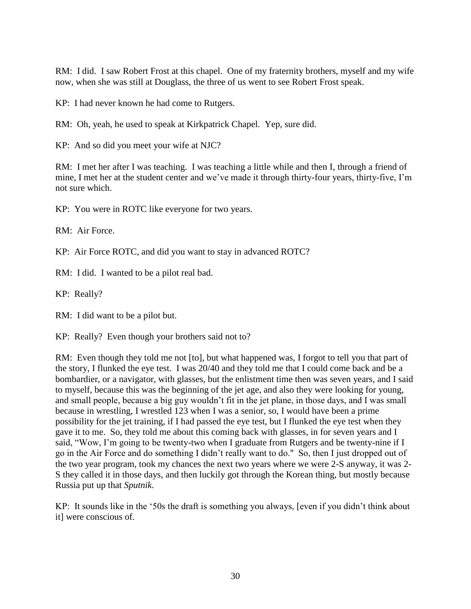RM: I did. I saw Robert Frost at this chapel. One of my fraternity brothers, myself and my wife now, when she was still at Douglass, the three of us went to see Robert Frost speak.

KP: I had never known he had come to Rutgers.

RM: Oh, yeah, he used to speak at Kirkpatrick Chapel. Yep, sure did.

KP: And so did you meet your wife at NJC?

RM: I met her after I was teaching. I was teaching a little while and then I, through a friend of mine, I met her at the student center and we've made it through thirty-four years, thirty-five, I'm not sure which.

KP: You were in ROTC like everyone for two years.

RM: Air Force.

KP: Air Force ROTC, and did you want to stay in advanced ROTC?

RM: I did. I wanted to be a pilot real bad.

KP: Really?

RM: I did want to be a pilot but.

KP: Really? Even though your brothers said not to?

RM: Even though they told me not [to], but what happened was, I forgot to tell you that part of the story, I flunked the eye test. I was 20/40 and they told me that I could come back and be a bombardier, or a navigator, with glasses, but the enlistment time then was seven years, and I said to myself, because this was the beginning of the jet age, and also they were looking for young, and small people, because a big guy wouldn't fit in the jet plane, in those days, and I was small because in wrestling, I wrestled 123 when I was a senior, so, I would have been a prime possibility for the jet training, if I had passed the eye test, but I flunked the eye test when they gave it to me. So, they told me about this coming back with glasses, in for seven years and I said, "Wow, I'm going to be twenty-two when I graduate from Rutgers and be twenty-nine if I go in the Air Force and do something I didn't really want to do." So, then I just dropped out of the two year program, took my chances the next two years where we were 2-S anyway, it was 2- S they called it in those days, and then luckily got through the Korean thing, but mostly because Russia put up that *Sputnik*.

KP: It sounds like in the '50s the draft is something you always, [even if you didn't think about it] were conscious of.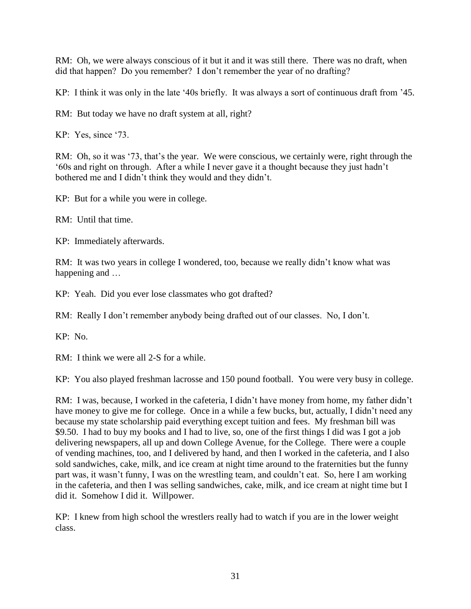RM: Oh, we were always conscious of it but it and it was still there. There was no draft, when did that happen? Do you remember? I don't remember the year of no drafting?

KP: I think it was only in the late '40s briefly. It was always a sort of continuous draft from '45.

RM: But today we have no draft system at all, right?

KP: Yes, since '73.

RM: Oh, so it was '73, that's the year. We were conscious, we certainly were, right through the '60s and right on through. After a while I never gave it a thought because they just hadn't bothered me and I didn't think they would and they didn't.

KP: But for a while you were in college.

RM: Until that time.

KP: Immediately afterwards.

RM: It was two years in college I wondered, too, because we really didn't know what was happening and …

KP: Yeah. Did you ever lose classmates who got drafted?

RM: Really I don't remember anybody being drafted out of our classes. No, I don't.

KP: No.

RM: I think we were all 2-S for a while.

KP: You also played freshman lacrosse and 150 pound football. You were very busy in college.

RM: I was, because, I worked in the cafeteria, I didn't have money from home, my father didn't have money to give me for college. Once in a while a few bucks, but, actually, I didn't need any because my state scholarship paid everything except tuition and fees. My freshman bill was \$9.50. I had to buy my books and I had to live, so, one of the first things I did was I got a job delivering newspapers, all up and down College Avenue, for the College. There were a couple of vending machines, too, and I delivered by hand, and then I worked in the cafeteria, and I also sold sandwiches, cake, milk, and ice cream at night time around to the fraternities but the funny part was, it wasn't funny, I was on the wrestling team, and couldn't eat. So, here I am working in the cafeteria, and then I was selling sandwiches, cake, milk, and ice cream at night time but I did it. Somehow I did it. Willpower.

KP: I knew from high school the wrestlers really had to watch if you are in the lower weight class.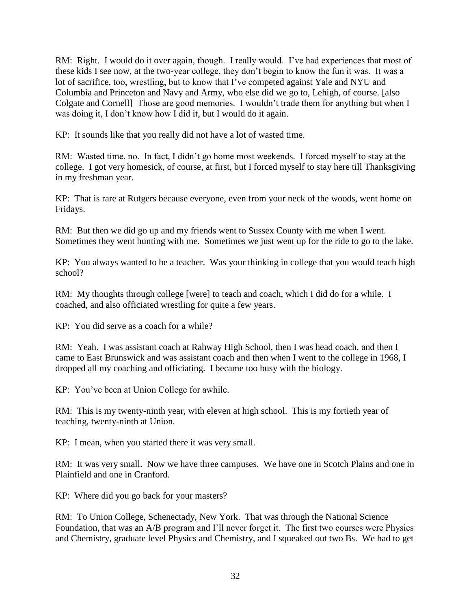RM: Right. I would do it over again, though. I really would. I've had experiences that most of these kids I see now, at the two-year college, they don't begin to know the fun it was. It was a lot of sacrifice, too, wrestling, but to know that I've competed against Yale and NYU and Columbia and Princeton and Navy and Army, who else did we go to, Lehigh, of course. [also Colgate and Cornell] Those are good memories. I wouldn't trade them for anything but when I was doing it, I don't know how I did it, but I would do it again.

KP: It sounds like that you really did not have a lot of wasted time.

RM: Wasted time, no. In fact, I didn't go home most weekends. I forced myself to stay at the college. I got very homesick, of course, at first, but I forced myself to stay here till Thanksgiving in my freshman year.

KP: That is rare at Rutgers because everyone, even from your neck of the woods, went home on Fridays.

RM: But then we did go up and my friends went to Sussex County with me when I went. Sometimes they went hunting with me. Sometimes we just went up for the ride to go to the lake.

KP: You always wanted to be a teacher. Was your thinking in college that you would teach high school?

RM: My thoughts through college [were] to teach and coach, which I did do for a while. I coached, and also officiated wrestling for quite a few years.

KP: You did serve as a coach for a while?

RM: Yeah. I was assistant coach at Rahway High School, then I was head coach, and then I came to East Brunswick and was assistant coach and then when I went to the college in 1968, I dropped all my coaching and officiating. I became too busy with the biology.

KP: You've been at Union College for awhile.

RM: This is my twenty-ninth year, with eleven at high school. This is my fortieth year of teaching, twenty-ninth at Union.

KP: I mean, when you started there it was very small.

RM: It was very small. Now we have three campuses. We have one in Scotch Plains and one in Plainfield and one in Cranford.

KP: Where did you go back for your masters?

RM: To Union College, Schenectady, New York. That was through the National Science Foundation, that was an A/B program and I'll never forget it. The first two courses were Physics and Chemistry, graduate level Physics and Chemistry, and I squeaked out two Bs. We had to get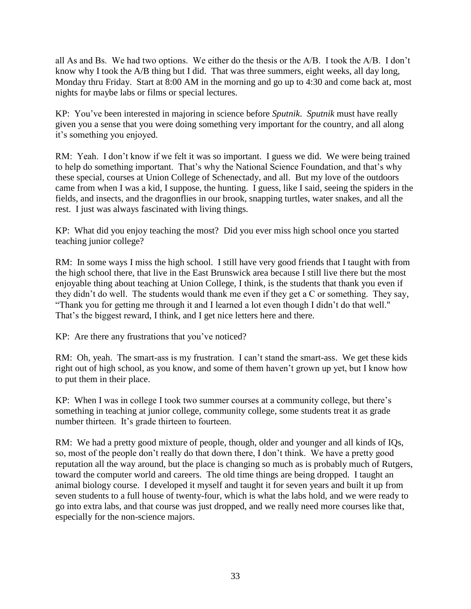all As and Bs. We had two options. We either do the thesis or the A/B. I took the A/B. I don't know why I took the A/B thing but I did. That was three summers, eight weeks, all day long, Monday thru Friday. Start at 8:00 AM in the morning and go up to 4:30 and come back at, most nights for maybe labs or films or special lectures.

KP: You've been interested in majoring in science before *Sputnik*. *Sputnik* must have really given you a sense that you were doing something very important for the country, and all along it's something you enjoyed.

RM: Yeah. I don't know if we felt it was so important. I guess we did. We were being trained to help do something important. That's why the National Science Foundation, and that's why these special, courses at Union College of Schenectady, and all. But my love of the outdoors came from when I was a kid, I suppose, the hunting. I guess, like I said, seeing the spiders in the fields, and insects, and the dragonflies in our brook, snapping turtles, water snakes, and all the rest. I just was always fascinated with living things.

KP: What did you enjoy teaching the most? Did you ever miss high school once you started teaching junior college?

RM: In some ways I miss the high school. I still have very good friends that I taught with from the high school there, that live in the East Brunswick area because I still live there but the most enjoyable thing about teaching at Union College, I think, is the students that thank you even if they didn't do well. The students would thank me even if they get a C or something. They say, "Thank you for getting me through it and I learned a lot even though I didn't do that well." That's the biggest reward, I think, and I get nice letters here and there.

KP: Are there any frustrations that you've noticed?

RM: Oh, yeah. The smart-ass is my frustration. I can't stand the smart-ass. We get these kids right out of high school, as you know, and some of them haven't grown up yet, but I know how to put them in their place.

KP: When I was in college I took two summer courses at a community college, but there's something in teaching at junior college, community college, some students treat it as grade number thirteen. It's grade thirteen to fourteen.

RM: We had a pretty good mixture of people, though, older and younger and all kinds of IQs, so, most of the people don't really do that down there, I don't think. We have a pretty good reputation all the way around, but the place is changing so much as is probably much of Rutgers, toward the computer world and careers. The old time things are being dropped. I taught an animal biology course. I developed it myself and taught it for seven years and built it up from seven students to a full house of twenty-four, which is what the labs hold, and we were ready to go into extra labs, and that course was just dropped, and we really need more courses like that, especially for the non-science majors.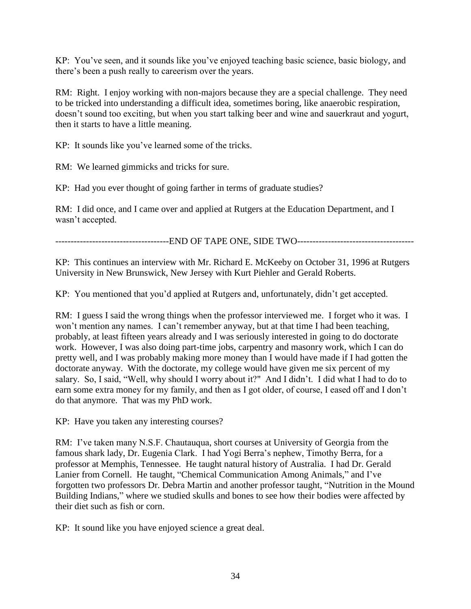KP: You've seen, and it sounds like you've enjoyed teaching basic science, basic biology, and there's been a push really to careerism over the years.

RM: Right. I enjoy working with non-majors because they are a special challenge. They need to be tricked into understanding a difficult idea, sometimes boring, like anaerobic respiration, doesn't sound too exciting, but when you start talking beer and wine and sauerkraut and yogurt, then it starts to have a little meaning.

KP: It sounds like you've learned some of the tricks.

RM: We learned gimmicks and tricks for sure.

KP: Had you ever thought of going farther in terms of graduate studies?

RM: I did once, and I came over and applied at Rutgers at the Education Department, and I wasn't accepted.

-------------------------------------END OF TAPE ONE, SIDE TWO--------------------------------------

KP: This continues an interview with Mr. Richard E. McKeeby on October 31, 1996 at Rutgers University in New Brunswick, New Jersey with Kurt Piehler and Gerald Roberts.

KP: You mentioned that you'd applied at Rutgers and, unfortunately, didn't get accepted.

RM: I guess I said the wrong things when the professor interviewed me. I forget who it was. I won't mention any names. I can't remember anyway, but at that time I had been teaching, probably, at least fifteen years already and I was seriously interested in going to do doctorate work. However, I was also doing part-time jobs, carpentry and masonry work, which I can do pretty well, and I was probably making more money than I would have made if I had gotten the doctorate anyway. With the doctorate, my college would have given me six percent of my salary. So, I said, "Well, why should I worry about it?" And I didn't. I did what I had to do to earn some extra money for my family, and then as I got older, of course, I eased off and I don't do that anymore. That was my PhD work.

KP: Have you taken any interesting courses?

RM: I've taken many N.S.F. Chautauqua, short courses at University of Georgia from the famous shark lady, Dr. Eugenia Clark. I had Yogi Berra's nephew, Timothy Berra, for a professor at Memphis, Tennessee. He taught natural history of Australia. I had Dr. Gerald Lanier from Cornell. He taught, "Chemical Communication Among Animals," and I've forgotten two professors Dr. Debra Martin and another professor taught, "Nutrition in the Mound Building Indians," where we studied skulls and bones to see how their bodies were affected by their diet such as fish or corn.

KP: It sound like you have enjoyed science a great deal.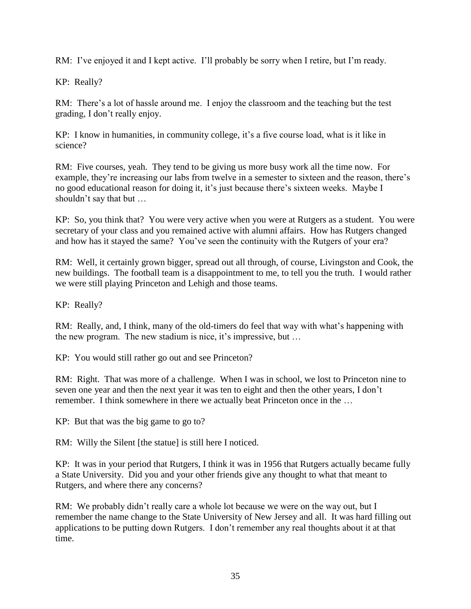RM: I've enjoyed it and I kept active. I'll probably be sorry when I retire, but I'm ready.

KP: Really?

RM: There's a lot of hassle around me. I enjoy the classroom and the teaching but the test grading, I don't really enjoy.

KP: I know in humanities, in community college, it's a five course load, what is it like in science?

RM: Five courses, yeah. They tend to be giving us more busy work all the time now. For example, they're increasing our labs from twelve in a semester to sixteen and the reason, there's no good educational reason for doing it, it's just because there's sixteen weeks. Maybe I shouldn't say that but …

KP: So, you think that? You were very active when you were at Rutgers as a student. You were secretary of your class and you remained active with alumni affairs. How has Rutgers changed and how has it stayed the same? You've seen the continuity with the Rutgers of your era?

RM: Well, it certainly grown bigger, spread out all through, of course, Livingston and Cook, the new buildings. The football team is a disappointment to me, to tell you the truth. I would rather we were still playing Princeton and Lehigh and those teams.

KP: Really?

RM: Really, and, I think, many of the old-timers do feel that way with what's happening with the new program. The new stadium is nice, it's impressive, but …

KP: You would still rather go out and see Princeton?

RM: Right. That was more of a challenge. When I was in school, we lost to Princeton nine to seven one year and then the next year it was ten to eight and then the other years, I don't remember. I think somewhere in there we actually beat Princeton once in the …

KP: But that was the big game to go to?

RM: Willy the Silent [the statue] is still here I noticed.

KP: It was in your period that Rutgers, I think it was in 1956 that Rutgers actually became fully a State University. Did you and your other friends give any thought to what that meant to Rutgers, and where there any concerns?

RM: We probably didn't really care a whole lot because we were on the way out, but I remember the name change to the State University of New Jersey and all. It was hard filling out applications to be putting down Rutgers. I don't remember any real thoughts about it at that time.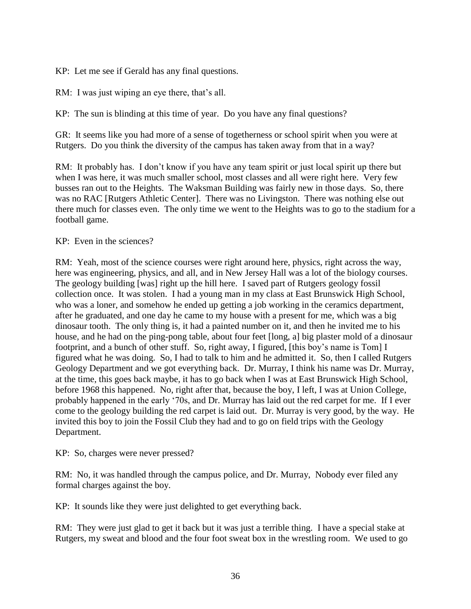KP: Let me see if Gerald has any final questions.

RM: I was just wiping an eye there, that's all.

KP: The sun is blinding at this time of year. Do you have any final questions?

GR: It seems like you had more of a sense of togetherness or school spirit when you were at Rutgers. Do you think the diversity of the campus has taken away from that in a way?

RM: It probably has. I don't know if you have any team spirit or just local spirit up there but when I was here, it was much smaller school, most classes and all were right here. Very few busses ran out to the Heights. The Waksman Building was fairly new in those days. So, there was no RAC [Rutgers Athletic Center]. There was no Livingston. There was nothing else out there much for classes even. The only time we went to the Heights was to go to the stadium for a football game.

# KP: Even in the sciences?

RM: Yeah, most of the science courses were right around here, physics, right across the way, here was engineering, physics, and all, and in New Jersey Hall was a lot of the biology courses. The geology building [was] right up the hill here. I saved part of Rutgers geology fossil collection once. It was stolen. I had a young man in my class at East Brunswick High School, who was a loner, and somehow he ended up getting a job working in the ceramics department, after he graduated, and one day he came to my house with a present for me, which was a big dinosaur tooth. The only thing is, it had a painted number on it, and then he invited me to his house, and he had on the ping-pong table, about four feet [long, a] big plaster mold of a dinosaur footprint, and a bunch of other stuff. So, right away, I figured, [this boy's name is Tom] I figured what he was doing. So, I had to talk to him and he admitted it. So, then I called Rutgers Geology Department and we got everything back. Dr. Murray, I think his name was Dr. Murray, at the time, this goes back maybe, it has to go back when I was at East Brunswick High School, before 1968 this happened. No, right after that, because the boy, I left, I was at Union College, probably happened in the early '70s, and Dr. Murray has laid out the red carpet for me. If I ever come to the geology building the red carpet is laid out. Dr. Murray is very good, by the way. He invited this boy to join the Fossil Club they had and to go on field trips with the Geology Department.

KP: So, charges were never pressed?

RM: No, it was handled through the campus police, and Dr. Murray, Nobody ever filed any formal charges against the boy.

KP: It sounds like they were just delighted to get everything back.

RM: They were just glad to get it back but it was just a terrible thing. I have a special stake at Rutgers, my sweat and blood and the four foot sweat box in the wrestling room. We used to go